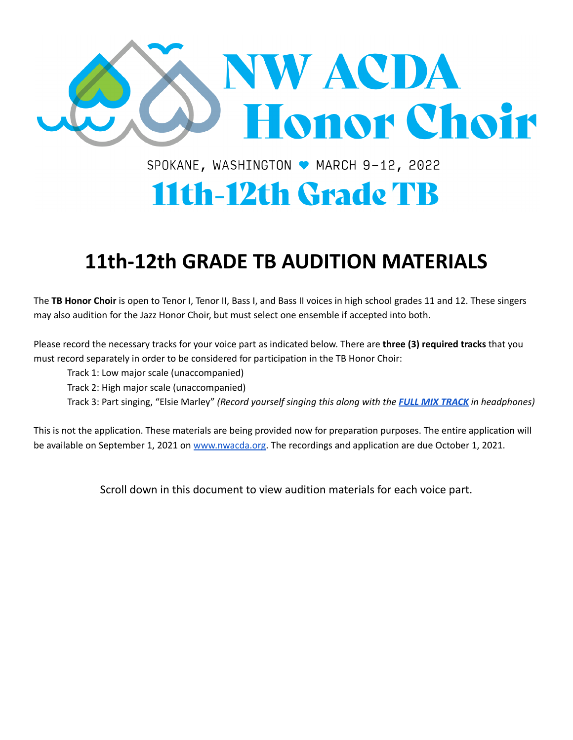

SPOKANE, WASHINGTON ♥ MARCH 9-12, 2022

# **11th-12th Grade TB**

## **11th-12th GRADE TB AUDITION MATERIALS**

The **TB Honor Choir** is open to Tenor I, Tenor II, Bass I, and Bass II voices in high school grades 11 and 12. These singers may also audition for the Jazz Honor Choir, but must select one ensemble if accepted into both.

Please record the necessary tracks for your voice part as indicated below. There are **three (3) required tracks** that you must record separately in order to be considered for participation in the TB Honor Choir:

Track 1: Low major scale (unaccompanied)

Track 2: High major scale (unaccompanied)

Track 3: Part singing, "Elsie Marley" *(Record yourself singing this along with the FULL MIX [TRACK](https://drive.google.com/file/d/1SCyEG3twkd0MQZchTu6djKR0mywZgkbI/view?usp=sharing) in headphones)*

This is not the application. These materials are being provided now for preparation purposes. The entire application will be available on September 1, 2021 on [www.nwacda.org](http://www.nwacda.org). The recordings and application are due October 1, 2021.

Scroll down in this document to view audition materials for each voice part.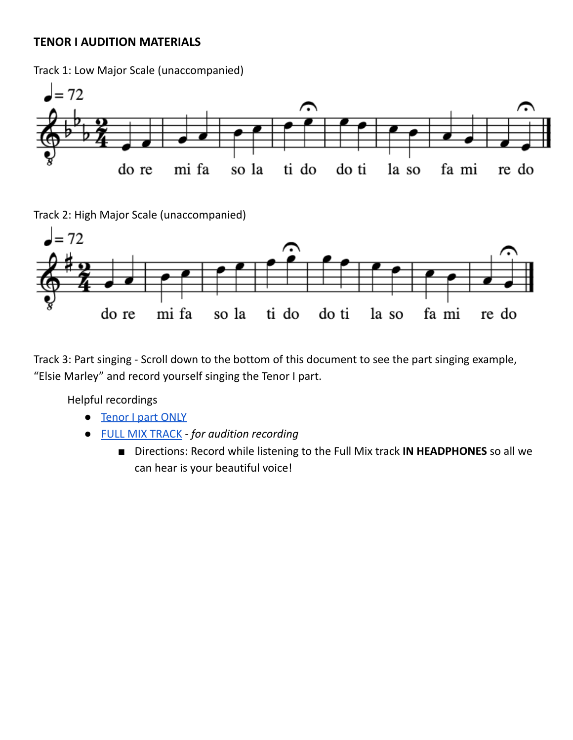#### **TENOR I AUDITION MATERIALS**

Track 1: Low Major Scale (unaccompanied)



Track 2: High Major Scale (unaccompanied)



Track 3: Part singing - Scroll down to the bottom of this document to see the part singing example, "Elsie Marley" and record yourself singing the Tenor I part.

- **[Tenor](https://drive.google.com/file/d/1oXjqr5M-8xJB2CmvkvPZ_94VLjSgmTxt/view?usp=sharing) I part ONLY**
- FULL MIX [TRACK](https://drive.google.com/file/d/1SCyEG3twkd0MQZchTu6djKR0mywZgkbI/view?usp=sharing) *- for audition recording*
	- Directions: Record while listening to the Full Mix track **IN HEADPHONES** so all we can hear is your beautiful voice!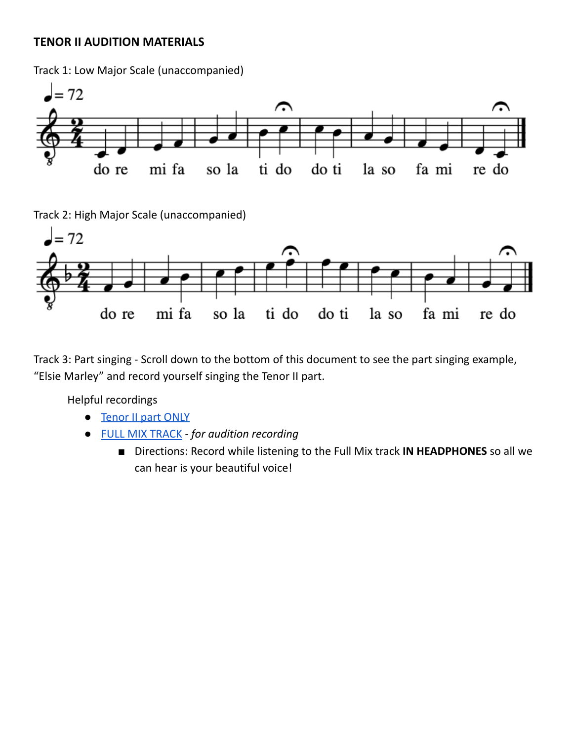#### **TENOR II AUDITION MATERIALS**

Track 1: Low Major Scale (unaccompanied)



Track 2: High Major Scale (unaccompanied)



Track 3: Part singing - Scroll down to the bottom of this document to see the part singing example, "Elsie Marley" and record yourself singing the Tenor II part.

- [Tenor](https://drive.google.com/file/d/1DmxDeL7lvlj_kVDzpFfxiwO1uVRiddrg/view?usp=sharing) II part ONLY
- FULL MIX [TRACK](https://drive.google.com/file/d/1SCyEG3twkd0MQZchTu6djKR0mywZgkbI/view?usp=sharing) *- for audition recording*
	- Directions: Record while listening to the Full Mix track **IN HEADPHONES** so all we can hear is your beautiful voice!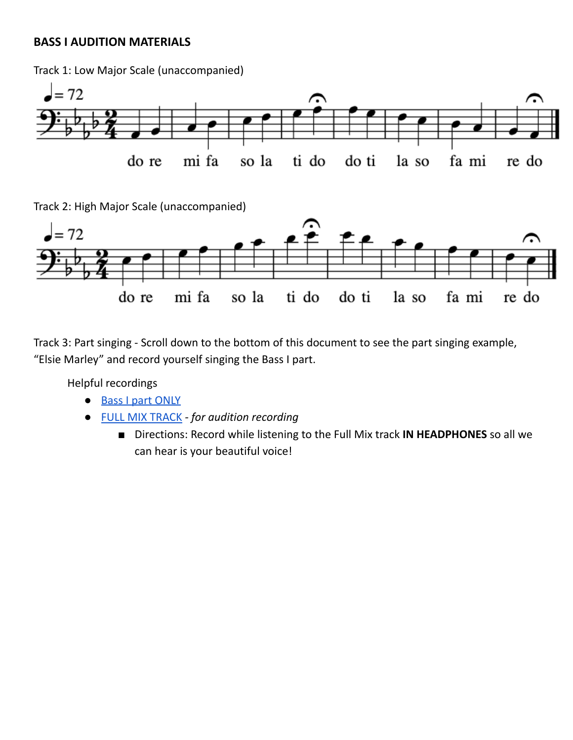#### **BASS I AUDITION MATERIALS**

Track 1: Low Major Scale (unaccompanied)



Track 2: High Major Scale (unaccompanied)



Track 3: Part singing - Scroll down to the bottom of this document to see the part singing example, "Elsie Marley" and record yourself singing the Bass I part.

- Bass I part [ONLY](https://drive.google.com/file/d/1i5wbXJwoc73w1s590o9__j6LYLN8ptrE/view?usp=sharing)
- FULL MIX [TRACK](https://drive.google.com/file/d/1SCyEG3twkd0MQZchTu6djKR0mywZgkbI/view?usp=sharing) *- for audition recording*
	- Directions: Record while listening to the Full Mix track **IN HEADPHONES** so all we can hear is your beautiful voice!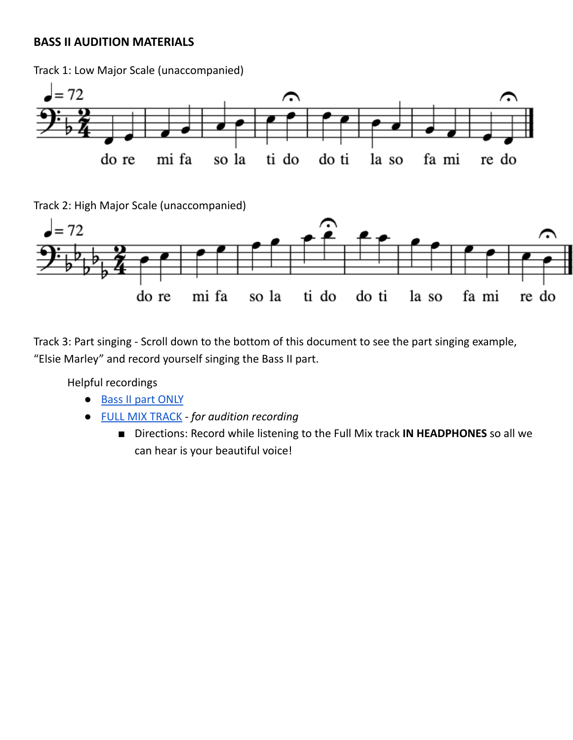#### **BASS II AUDITION MATERIALS**

Track 1: Low Major Scale (unaccompanied)



Track 2: High Major Scale (unaccompanied)



Track 3: Part singing - Scroll down to the bottom of this document to see the part singing example, "Elsie Marley" and record yourself singing the Bass II part.

- Bass II part [ONLY](https://drive.google.com/file/d/13enEVY7TvYyh6IGGPKdm_sEfK3qDf0Tc/view?usp=sharing)
- FULL MIX [TRACK](https://drive.google.com/file/d/1SCyEG3twkd0MQZchTu6djKR0mywZgkbI/view?usp=sharing) *- for audition recording*
	- Directions: Record while listening to the Full Mix track **IN HEADPHONES** so all we can hear is your beautiful voice!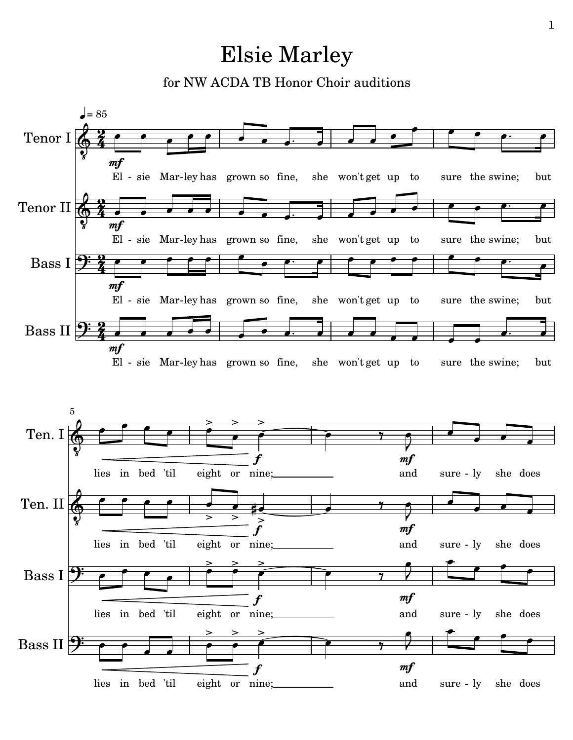### Elsie Marley

for NW ACDA TB Honor Choir auditions